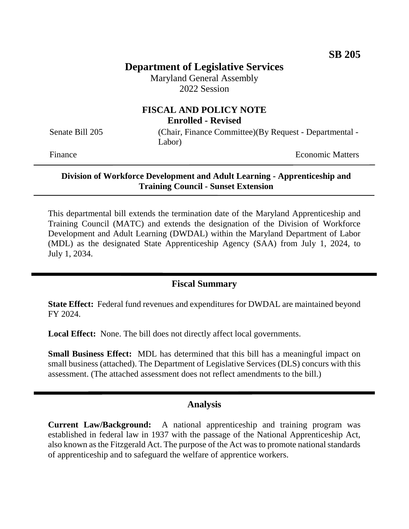# **Department of Legislative Services**

Maryland General Assembly 2022 Session

# **FISCAL AND POLICY NOTE Enrolled - Revised**

Senate Bill 205 (Chair, Finance Committee)(By Request - Departmental -Labor)

Finance **Exercise Economic Matters** 

### **Division of Workforce Development and Adult Learning - Apprenticeship and Training Council - Sunset Extension**

This departmental bill extends the termination date of the Maryland Apprenticeship and Training Council (MATC) and extends the designation of the Division of Workforce Development and Adult Learning (DWDAL) within the Maryland Department of Labor (MDL) as the designated State Apprenticeship Agency (SAA) from July 1, 2024, to July 1, 2034.

# **Fiscal Summary**

**State Effect:** Federal fund revenues and expenditures for DWDAL are maintained beyond FY 2024.

**Local Effect:** None. The bill does not directly affect local governments.

**Small Business Effect:** MDL has determined that this bill has a meaningful impact on small business (attached). The Department of Legislative Services (DLS) concurs with this assessment. (The attached assessment does not reflect amendments to the bill.)

## **Analysis**

**Current Law/Background:** A national apprenticeship and training program was established in federal law in 1937 with the passage of the National Apprenticeship Act, also known as the Fitzgerald Act. The purpose of the Act was to promote national standards of apprenticeship and to safeguard the welfare of apprentice workers.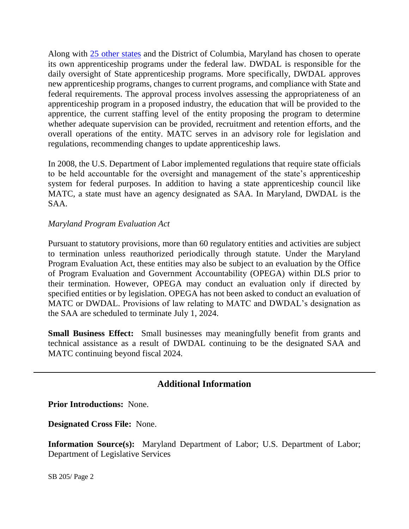Along with 25 [other states](https://www.dol.gov/agencies/eta/apprenticeship/contact) and the District of Columbia, Maryland has chosen to operate its own apprenticeship programs under the federal law. DWDAL is responsible for the daily oversight of State apprenticeship programs. More specifically, DWDAL approves new apprenticeship programs, changes to current programs, and compliance with State and federal requirements. The approval process involves assessing the appropriateness of an apprenticeship program in a proposed industry, the education that will be provided to the apprentice, the current staffing level of the entity proposing the program to determine whether adequate supervision can be provided, recruitment and retention efforts, and the overall operations of the entity. MATC serves in an advisory role for legislation and regulations, recommending changes to update apprenticeship laws.

In 2008, the U.S. Department of Labor implemented regulations that require state officials to be held accountable for the oversight and management of the state's apprenticeship system for federal purposes. In addition to having a state apprenticeship council like MATC, a state must have an agency designated as SAA. In Maryland, DWDAL is the SAA.

## *Maryland Program Evaluation Act*

Pursuant to statutory provisions, more than 60 regulatory entities and activities are subject to termination unless reauthorized periodically through statute. Under the Maryland Program Evaluation Act, these entities may also be subject to an evaluation by the Office of Program Evaluation and Government Accountability (OPEGA) within DLS prior to their termination. However, OPEGA may conduct an evaluation only if directed by specified entities or by legislation. OPEGA has not been asked to conduct an evaluation of MATC or DWDAL. Provisions of law relating to MATC and DWDAL's designation as the SAA are scheduled to terminate July 1, 2024.

**Small Business Effect:** Small businesses may meaningfully benefit from grants and technical assistance as a result of DWDAL continuing to be the designated SAA and MATC continuing beyond fiscal 2024.

# **Additional Information**

**Prior Introductions:** None.

**Designated Cross File:** None.

**Information Source(s):** Maryland Department of Labor; U.S. Department of Labor; Department of Legislative Services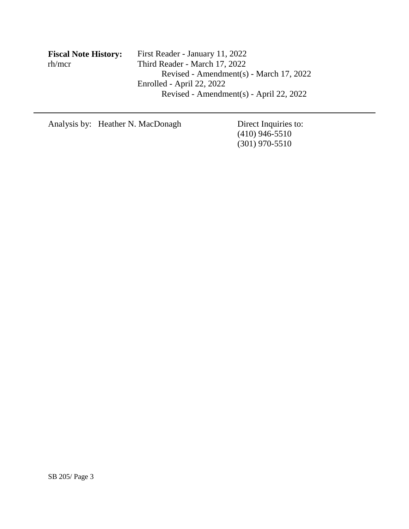| <b>Fiscal Note History:</b> | <b>First Rea</b> |
|-----------------------------|------------------|
| rh/mcr                      | Third Re         |
|                             | R                |

**Fiscal Note History:** First Reader - January 11, 2022  $e$ ader - March 17, 2022 Revised - Amendment(s) - March 17, 2022 Enrolled - April 22, 2022 Revised - Amendment(s) - April 22, 2022

Analysis by: Heather N. MacDonagh Direct Inquiries to:

(410) 946-5510 (301) 970-5510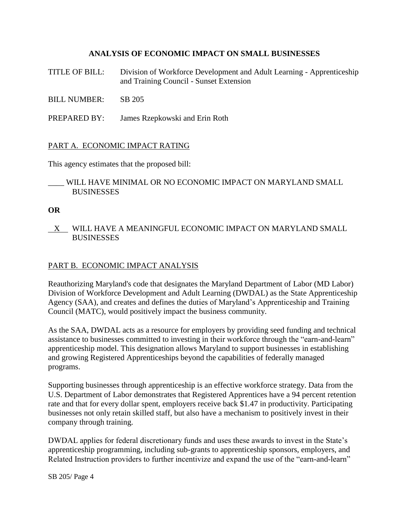## **ANALYSIS OF ECONOMIC IMPACT ON SMALL BUSINESSES**

- TITLE OF BILL: Division of Workforce Development and Adult Learning Apprenticeship and Training Council - Sunset Extension
- BILL NUMBER: SB 205
- PREPARED BY: James Rzepkowski and Erin Roth

### PART A. ECONOMIC IMPACT RATING

This agency estimates that the proposed bill:

### \_\_\_\_ WILL HAVE MINIMAL OR NO ECONOMIC IMPACT ON MARYLAND SMALL BUSINESSES

#### **OR**

 X WILL HAVE A MEANINGFUL ECONOMIC IMPACT ON MARYLAND SMALL BUSINESSES

### PART B. ECONOMIC IMPACT ANALYSIS

Reauthorizing Maryland's code that designates the Maryland Department of Labor (MD Labor) Division of Workforce Development and Adult Learning (DWDAL) as the State Apprenticeship Agency (SAA), and creates and defines the duties of Maryland's Apprenticeship and Training Council (MATC), would positively impact the business community.

As the SAA, DWDAL acts as a resource for employers by providing seed funding and technical assistance to businesses committed to investing in their workforce through the "earn-and-learn" apprenticeship model. This designation allows Maryland to support businesses in establishing and growing Registered Apprenticeships beyond the capabilities of federally managed programs.

Supporting businesses through apprenticeship is an effective workforce strategy. Data from the U.S. Department of Labor demonstrates that Registered Apprentices have a 94 percent retention rate and that for every dollar spent, employers receive back \$1.47 in productivity. Participating businesses not only retain skilled staff, but also have a mechanism to positively invest in their company through training.

DWDAL applies for federal discretionary funds and uses these awards to invest in the State's apprenticeship programming, including sub-grants to apprenticeship sponsors, employers, and Related Instruction providers to further incentivize and expand the use of the "earn-and-learn"

SB 205/ Page 4